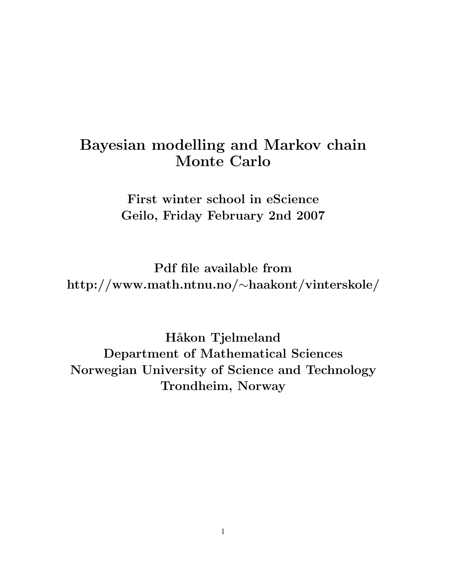#### Bayesian modelling and Markov chain Monte Carlo

First winter school in eScience Geilo, Friday February 2nd 2007

Pdf file available from http://www.math.ntnu.no/∼haakont/vinterskole/

Håkon Tjelmeland Department of Mathematical Sciences Norwegian University of Science and Technology Trondheim, Norway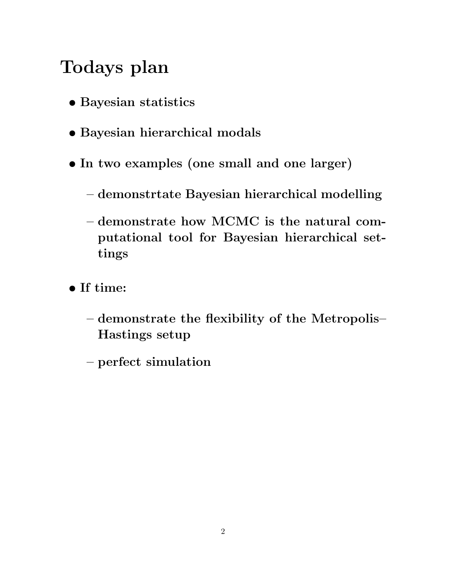# Todays plan

- Bayesian statistics
- Bayesian hierarchical modals
- In two examples (one small and one larger)
	- demonstrtate Bayesian hierarchical modelling
	- demonstrate how MCMC is the natural computational tool for Bayesian hierarchical settings
- If time:
	- demonstrate the flexibility of the Metropolis– Hastings setup
	- perfect simulation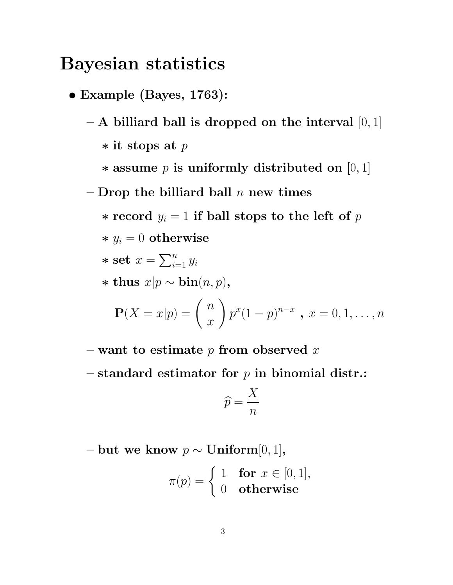#### Bayesian statistics

- Example (Bayes, 1763):
	- $-$  A billiard ball is dropped on the interval  $[0,1]$ ∗ it stops at p  $\ast$  assume p is uniformly distributed on [0, 1]
	- Drop the billiard ball  $n$  new times
		- ∗ record  $y_i = 1$  if ball stops to the left of p
		- $* y_i = 0$  otherwise

$$
\ast \text{ set } x = \sum_{i=1}^n y_i
$$

\* thus 
$$
x|p \sim \text{bin}(n, p)
$$
,

$$
\mathbf{P}(X = x|p) = {n \choose x} p^x (1-p)^{n-x}, x = 0, 1, ..., n
$$

- want to estimate  $p$  from observed  $x$
- standard estimator for  $p$  in binomial distr.:

$$
\widehat{p} = \frac{X}{n}
$$

– but we know  $p \sim$  Uniform[0, 1],

$$
\pi(p) = \begin{cases} 1 & \text{for } x \in [0, 1], \\ 0 & \text{otherwise} \end{cases}
$$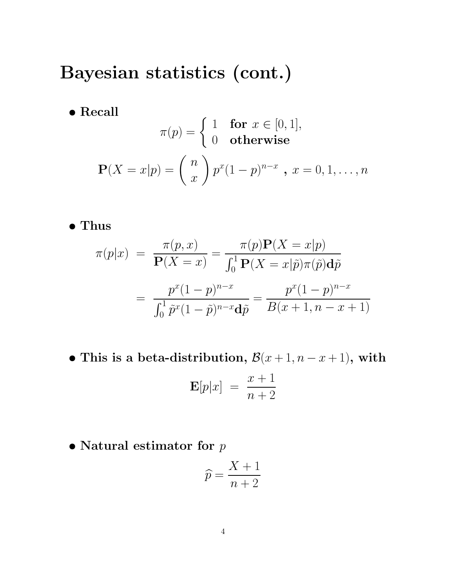## Bayesian statistics (cont.)

 $\bullet$  Recall

$$
\pi(p) = \begin{cases} 1 & \text{for } x \in [0, 1], \\ 0 & \text{otherwise} \end{cases}
$$

$$
\mathbf{P}(X = x|p) = \binom{n}{x} p^x (1-p)^{n-x}, \ x = 0, 1, \dots, n
$$

• Thus

$$
\pi(p|x) = \frac{\pi(p,x)}{\mathbf{P}(X=x)} = \frac{\pi(p)\mathbf{P}(X=x|p)}{\int_0^1 \mathbf{P}(X=x|\tilde{p})\pi(\tilde{p})d\tilde{p}}
$$

$$
= \frac{p^x(1-p)^{n-x}}{\int_0^1 \tilde{p}^x(1-\tilde{p})^{n-x}d\tilde{p}} = \frac{p^x(1-p)^{n-x}}{B(x+1, n-x+1)}
$$

- This is a beta-distribution,  $\mathcal{B}(x+1, n-x+1)$ , with  $\mathbf{E}[p|x] = \frac{x+1}{x+2}$  $n+2$
- $\bullet$  Natural estimator for  $p$

$$
\widehat{p} = \frac{X+1}{n+2}
$$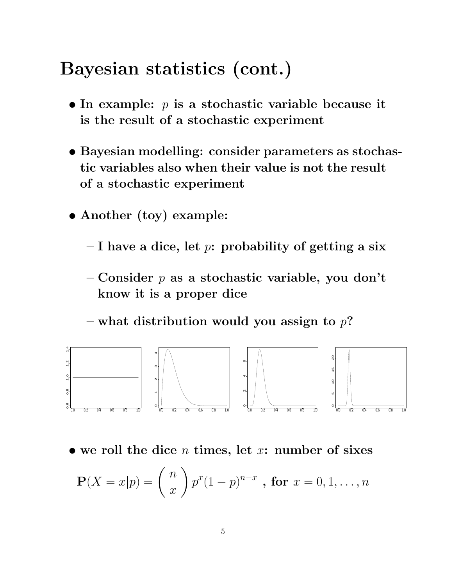### Bayesian statistics (cont.)

- In example:  $p$  is a stochastic variable because it is the result of a stochastic experiment
- Bayesian modelling: consider parameters as stochastic variables also when their value is not the result of a stochastic experiment
- Another (toy) example:
	- I have a dice, let  $p$ : probability of getting a six
	- Consider  $p$  as a stochastic variable, you don't know it is a proper dice

– what distribution would you assign to  $p$ ?



• we roll the dice  $n$  times, let  $x$ : number of sixes

$$
\mathbf{P}(X = x|p) = {n \choose x} p^x (1-p)^{n-x} , \text{ for } x = 0, 1, ..., n
$$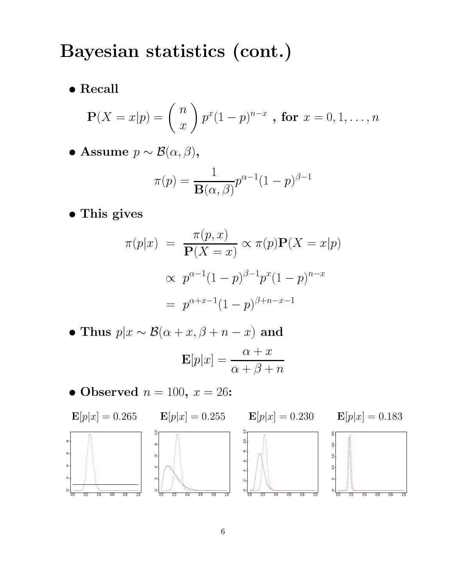## Bayesian statistics (cont.)

 $\bullet$  Recall

$$
\mathbf{P}(X = x|p) = {n \choose x} p^x (1-p)^{n-x}, \text{ for } x = 0, 1, ..., n
$$

• Assume  $p \sim \mathcal{B}(\alpha, \beta)$ ,

$$
\pi(p) = \frac{1}{\mathbf{B}(\alpha, \beta)} p^{\alpha - 1} (1 - p)^{\beta - 1}
$$

• This gives

$$
\pi(p|x) = \frac{\pi(p, x)}{\mathbf{P}(X = x)} \propto \pi(p)\mathbf{P}(X = x|p)
$$

$$
\propto p^{\alpha - 1}(1 - p)^{\beta - 1}p^x(1 - p)^{n - x}
$$

$$
= p^{\alpha + x - 1}(1 - p)^{\beta + n - x - 1}
$$

- Thus  $p|x\sim\mathcal{B}(\alpha+x,\beta+n-x)$  and  $\mathbf{E}[p|x] = \frac{\alpha + x}{\alpha + x}$  $\alpha+\beta+n$
- Observed  $n = 100$ ,  $x = 26$ :

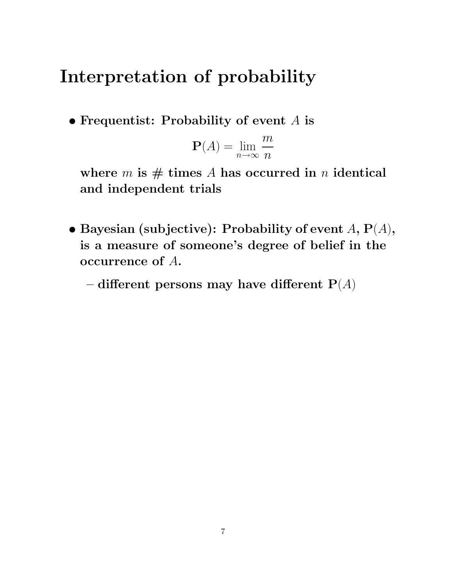## Interpretation of probability

• Frequentist: Probability of event  $A$  is

$$
\mathbf{P}(A) = \lim_{n \to \infty} \frac{m}{n}
$$

where  $m$  is  $#$  times A has occurred in n identical and independent trials

• Bayesian (subjective): Probability of event  $A$ ,  $P(A)$ , is a measure of someone's degree of belief in the occurrence of A.

– different persons may have different  $P(A)$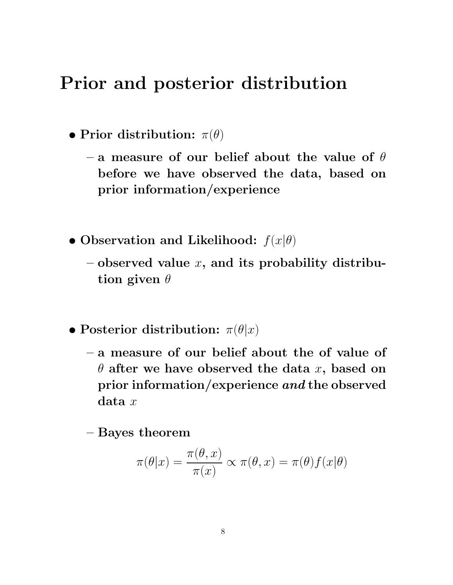### Prior and posterior distribution

- Prior distribution:  $\pi(\theta)$ 
	- a measure of our belief about the value of  $\theta$ before we have observed the data, based on prior information/experience
- Observation and Likelihood:  $f(x|\theta)$ 
	- $\sim$  observed value x, and its probability distribution given  $\theta$
- Posterior distribution:  $\pi(\theta|x)$ 
	- a measure of our belief about the of value of  $\theta$  after we have observed the data x, based on prior information/experience and the observed  $data x$

– Bayes theorem

$$
\pi(\theta|x) = \frac{\pi(\theta, x)}{\pi(x)} \propto \pi(\theta, x) = \pi(\theta) f(x|\theta)
$$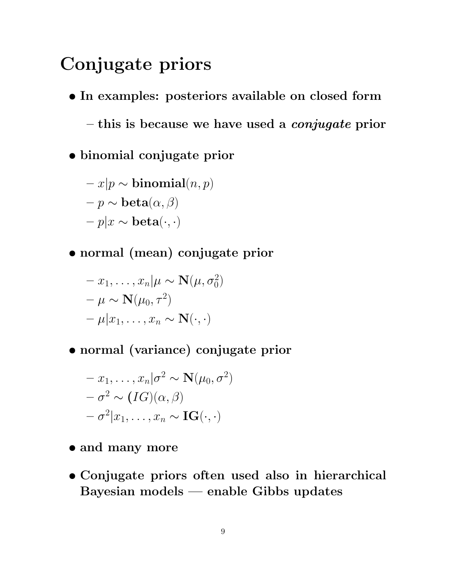## Conjugate priors

- In examples: posteriors available on closed form
	- $-$  this is because we have used a *conjugate* prior
- binomial conjugate prior

$$
-x|p\sim \mathbf{binomial}(n,p)
$$

- $-p \sim \mathbf{beta}(\alpha, \beta)$
- $-p|x \sim \textbf{beta}(\cdot, \cdot)$
- normal (mean) conjugate prior

$$
- x_1, \dots, x_n | \mu \sim \mathbf{N}(\mu, \sigma_0^2)
$$
  

$$
- \mu \sim \mathbf{N}(\mu_0, \tau^2)
$$
  

$$
- \mu | x_1, \dots, x_n \sim \mathbf{N}(\cdot, \cdot)
$$

• normal (variance) conjugate prior

$$
- x_1, \ldots, x_n | \sigma^2 \sim \mathbf{N}(\mu_0, \sigma^2)
$$
  

$$
- \sigma^2 \sim (IG)(\alpha, \beta)
$$
  

$$
- \sigma^2 | x_1, \ldots, x_n \sim \mathbf{IG}(\cdot, \cdot)
$$

- and many more
- Conjugate priors often used also in hierarchical Bayesian models — enable Gibbs updates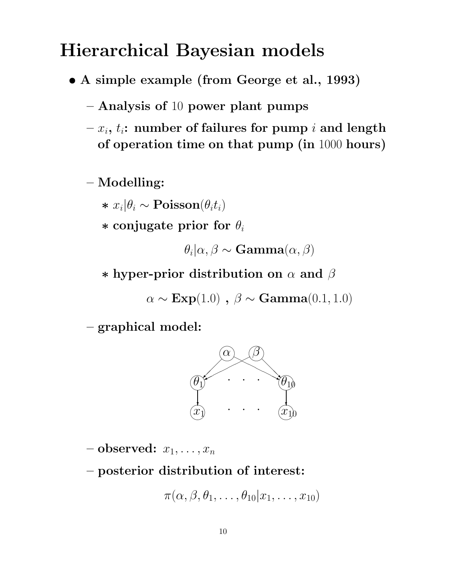## Hierarchical Bayesian models

- A simple example (from George et al., 1993)
	- Analysis of 10 power plant pumps
	- $-x_i$ ,  $t_i$ : number of failures for pump i and length of operation time on that pump (in 1000 hours)

– Modelling:

\*  $x_i | \theta_i \sim \text{Poisson}(\theta_i t_i)$ 

 $*$  conjugate prior for  $\theta_i$ 

 $\theta_i | \alpha, \beta \sim \mathbf{Gamma}(\alpha, \beta)$ 

 $*$  hyper-prior distribution on  $\alpha$  and  $\beta$ 

 $\alpha \sim \text{Exp}(1.0)$ ,  $\beta \sim \text{Gamma}(0.1, 1.0)$ 

– graphical model:



– observed:  $x_1, \ldots, x_n$ 

– posterior distribution of interest:

$$
\pi(\alpha,\beta,\theta_1,\ldots,\theta_{10}|x_1,\ldots,x_{10})
$$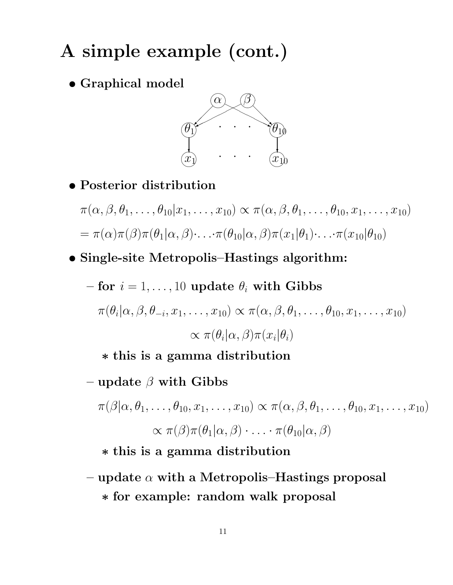## A simple example (cont.)

• Graphical model



• Posterior distribution

$$
\pi(\alpha, \beta, \theta_1, \dots, \theta_{10}|x_1, \dots, x_{10}) \propto \pi(\alpha, \beta, \theta_1, \dots, \theta_{10}, x_1, \dots, x_{10})
$$
  
=  $\pi(\alpha)\pi(\beta)\pi(\theta_1|\alpha, \beta)\dots \pi(\theta_{10}|\alpha, \beta)\pi(x_1|\theta_1)\dots \pi(x_{10}|\theta_{10})$ 

• Single-site Metropolis–Hastings algorithm:

- for 
$$
i = 1, ..., 10
$$
 update  $\theta_i$  with Gibbs  
\n
$$
\pi(\theta_i | \alpha, \beta, \theta_{-i}, x_1, ..., x_{10}) \propto \pi(\alpha, \beta, \theta_1, ..., \theta_{10}, x_1, ..., x_{10})
$$
\n
$$
\propto \pi(\theta_i | \alpha, \beta) \pi(x_i | \theta_i)
$$

∗ this is a gamma distribution

– update  $\beta$  with Gibbs

$$
\pi(\beta|\alpha,\theta_1,\ldots,\theta_{10},x_1,\ldots,x_{10}) \propto \pi(\alpha,\beta,\theta_1,\ldots,\theta_{10},x_1,\ldots,x_{10})
$$

$$
\propto \pi(\beta)\pi(\theta_1|\alpha,\beta)\cdot\ldots\cdot\pi(\theta_{10}|\alpha,\beta)
$$

∗ this is a gamma distribution

– update  $\alpha$  with a Metropolis–Hastings proposal ∗ for example: random walk proposal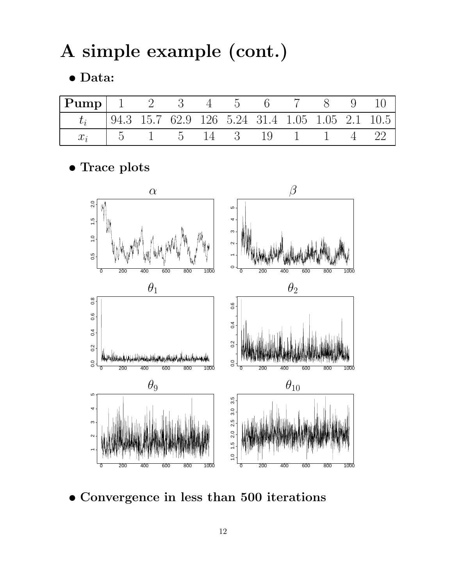A simple example (cont.)

• Data:

| $ \mathbf{Pump} $ 1 2 3 4 5 6 7 8 9 10                  |                                                                              |  |  |  |  |
|---------------------------------------------------------|------------------------------------------------------------------------------|--|--|--|--|
| $t_i$   94.3 15.7 62.9 126 5.24 31.4 1.05 1.05 2.1 10.5 |                                                                              |  |  |  |  |
| $x_i$                                                   | $1\quad 5\quad 1\quad 5\quad 14\quad 3\quad 19\quad 1\quad 1\quad 4\quad 22$ |  |  |  |  |

• Trace plots



• Convergence in less than 500 iterations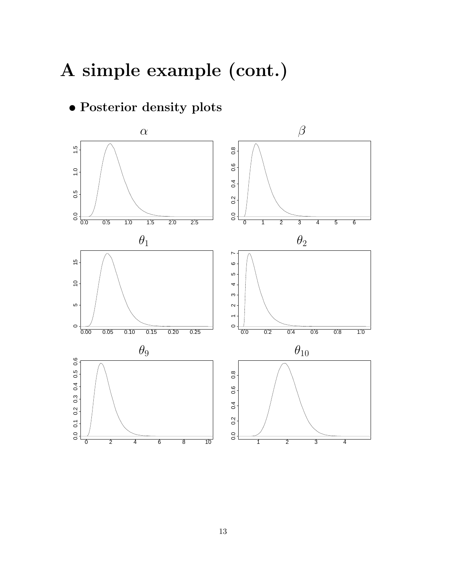# A simple example (cont.)

#### • Posterior density plots

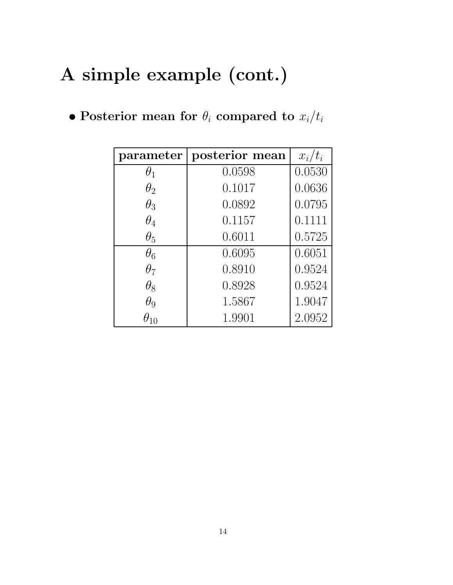# A simple example (cont.)

|  |  |  |  |  | • Posterior mean for $\theta_i$ compared to $x_i/t_i$ |  |  |
|--|--|--|--|--|-------------------------------------------------------|--|--|
|--|--|--|--|--|-------------------------------------------------------|--|--|

| parameter  | posterior mean | $x_i/t_i$ |
|------------|----------------|-----------|
| $\theta_1$ | 0.0598         | 0.0530    |
| $\theta_2$ | 0.1017         | 0.0636    |
| $\theta_3$ | 0.0892         | 0.0795    |
| $\theta_4$ | 0.1157         | 0.1111    |
| $\theta_5$ | 0.6011         | 0.5725    |
| $\theta_6$ | 0.6095         | 0.6051    |
| $\theta_7$ | 0.8910         | 0.9524    |
| $\theta_8$ | 0.8928         | 0.9524    |
| $\theta_9$ | 1.5867         | 1.9047    |
|            | 1.9901         | 2.0952    |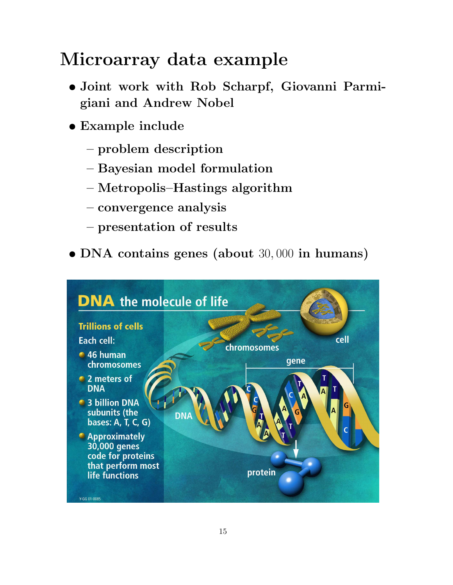# Microarray data example

- Joint work with Rob Scharpf, Giovanni Parmigiani and Andrew Nobel
- Example include
	- problem description
	- Bayesian model formulation
	- Metropolis–Hastings algorithm
	- convergence analysis
	- presentation of results
- DNA contains genes (about 30, 000 in humans)

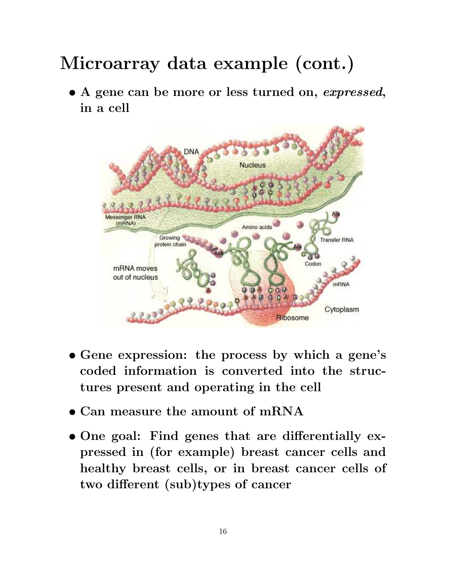• A gene can be more or less turned on, expressed, in a cell



- Gene expression: the process by which a gene's coded information is converted into the structures present and operating in the cell
- Can measure the amount of mRNA
- One goal: Find genes that are differentially expressed in (for example) breast cancer cells and healthy breast cells, or in breast cancer cells of two different (sub)types of cancer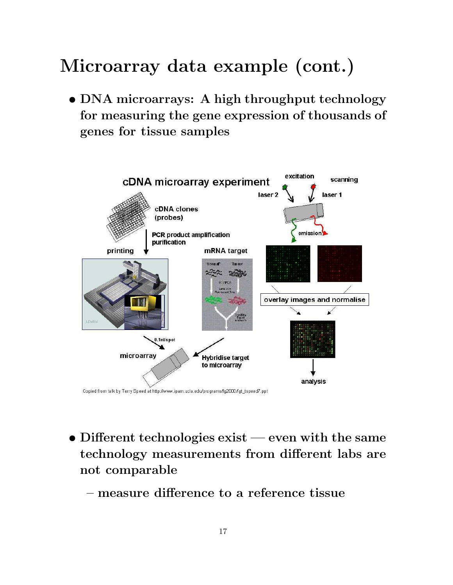• DNA microarrays: A high throughput technology for measuring the gene expression of thousands of genes for tissue samples



- Different technologies exist even with the same technology measurements from different labs are not comparable
	- measure difference to a reference tissue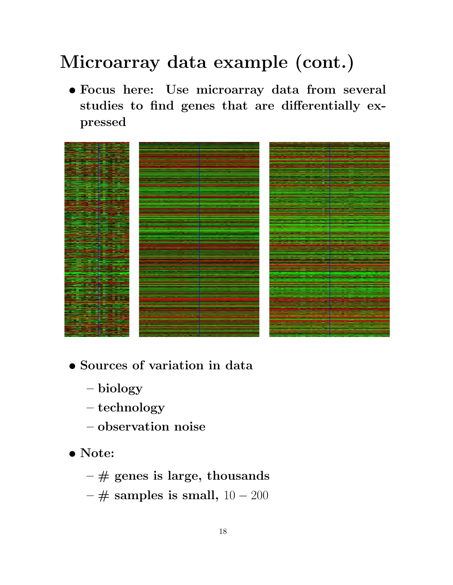• Focus here: Use microarray data from several studies to find genes that are differentially expressed



- Sources of variation in data
	- biology
	- technology
	- observation noise
- Note:
	- $\#$  genes is large, thousands
	- $\#$  samples is small,  $10 200$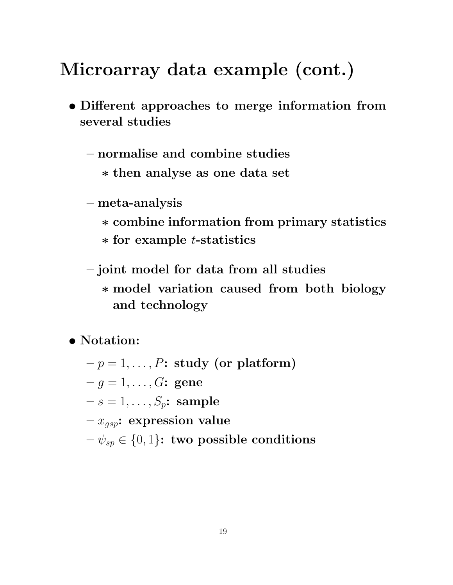- Different approaches to merge information from several studies
	- normalise and combine studies
		- ∗ then analyse as one data set
	- meta-analysis
		- ∗ combine information from primary statistics
		- ∗ for example t-statistics
	- joint model for data from all studies ∗ model variation caused from both biology and technology

• Notation:

- $-p = 1, \ldots, P$ : study (or platform)
- $-q = 1, ..., G$ : gene
- $-s=1,\ldots,S_n$ : sample
- $-x_{qsp}$ : expression value
- $-\psi_{sp} \in \{0,1\}$ : two possible conditions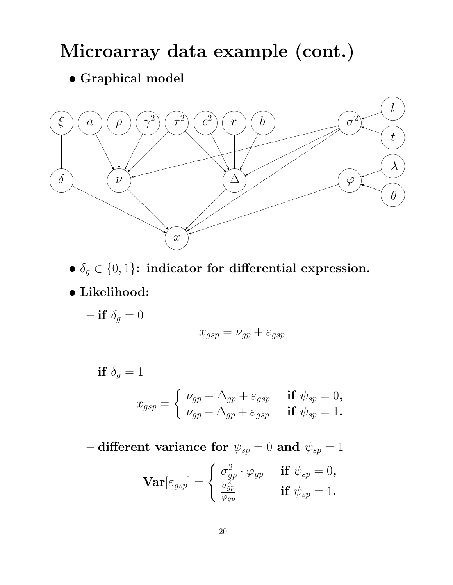#### • Graphical model



- $\delta_g \in \{0, 1\}$ : indicator for differential expression.
- Likelihood:
	- if  $\delta_g = 0$

$$
x_{gsp} = \nu_{gp} + \varepsilon_{gsp}
$$

$$
- if \delta_g = 1
$$
  

$$
x_{gsp} = \begin{cases} \nu_{gp} - \Delta_{gp} + \varepsilon_{gsp} & \text{if } \psi_{sp} = 0, \\ \nu_{gp} + \Delta_{gp} + \varepsilon_{gsp} & \text{if } \psi_{sp} = 1. \end{cases}
$$

– different variance for  $\psi_{sp} = 0$  and  $\psi_{sp} = 1$ 

$$
\mathbf{Var}[\varepsilon_{gsp}] = \begin{cases} \sigma_{gp}^2 \cdot \varphi_{gp} & \text{if } \psi_{sp} = 0, \\ \frac{\sigma_{gp}^2}{\varphi_{gp}} & \text{if } \psi_{sp} = 1. \end{cases}
$$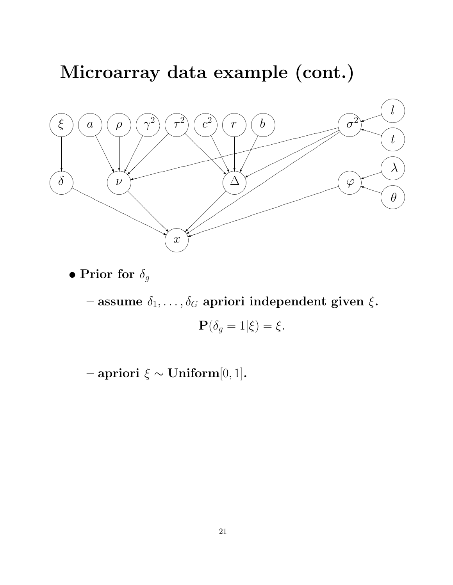

 $\bullet$  Prior for  $\delta_g$ 

– assume  $\delta_1,\ldots,\delta_G$  a<br>priori independent given  $\xi.$ 

 $\mathbf{P}(\delta_q=1|\xi)=\xi.$ 

– apriori ξ ∼ Uniform[0, 1].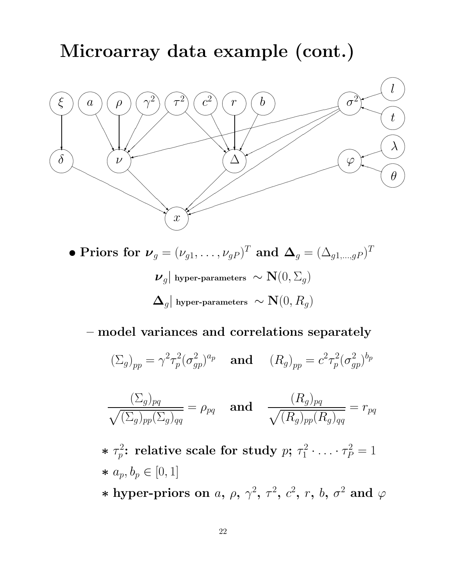

• Priors for  $\boldsymbol{\nu}_g = (\nu_{g1}, \dots, \nu_{gP})^T$  and  $\boldsymbol{\Delta}_g = (\Delta_{g1,\dots,gP})^T$  $\boldsymbol{\nu}_g|$  hyper-parameters  $~ \sim \mathbf{N}(0, \Sigma_g)$  $\left|\mathbf{\Delta}_{g}\right|$  hyper-parameters  $\left.\sim\mathbf{N}(0,R_{g})\right.$ 

– model variances and correlations separately

$$
(\Sigma_g)_{pp} = \gamma^2 \tau_p^2 (\sigma_{gp}^2)^{a_p} \quad \text{and} \quad (R_g)_{pp} = c^2 \tau_p^2 (\sigma_{gp}^2)^{b_p}
$$

$$
\frac{(\Sigma_g)_{pq}}{\sqrt{(\Sigma_g)_{pp}(\Sigma_g)_{qq}}} = \rho_{pq} \quad \text{and} \quad \frac{(R_g)_{pq}}{\sqrt{(R_g)_{pp}(R_g)_{qq}}} = r_{pq}
$$

\*  $\tau_p^2$  $p^2 \overline{p}$ : relative scale for study  $p; \, \tau_1^2$  $\tau_1^2 \cdot \ldots \cdot \tau_P^2 = 1$ ∗ ap, b<sup>p</sup> ∈ [0, 1]

\* hyper-priors on a,  $\rho$ ,  $\gamma^2$ ,  $\tau^2$ ,  $c^2$ ,  $r$ ,  $b$ ,  $\sigma^2$  and  $\varphi$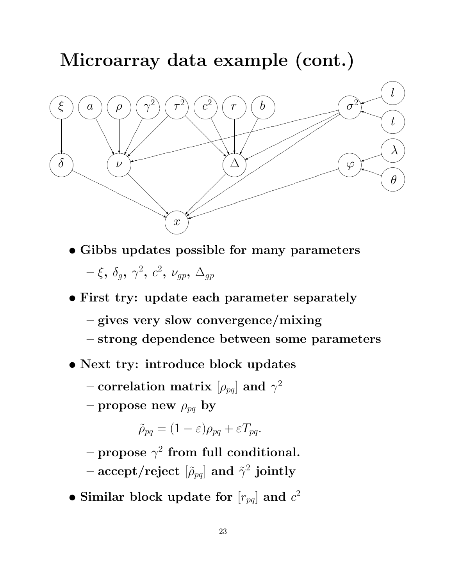

- Gibbs updates possible for many parameters  $-\,\xi,\,\delta_g,\,\gamma^2,\,c^2,\,\nu_{gp},\,\Delta_{gp}$
- First try: update each parameter separately
	- gives very slow convergence/mixing
	- strong dependence between some parameters
- Next try: introduce block updates
	- correlation matrix  $[\rho_{pq}]$  and  $\gamma^2$
	- propose new  $\rho_{pq}$  by

$$
\tilde{\rho}_{pq} = (1 - \varepsilon)\rho_{pq} + \varepsilon T_{pq}.
$$

- propose  $\gamma^2$  from full conditional.
- accept/reject  $[\widetilde{\rho}_{pq}]$  and  $\tilde{\gamma}^2$  jointly
- Similar block update for  $[r_{pq}]$  and  $c^2$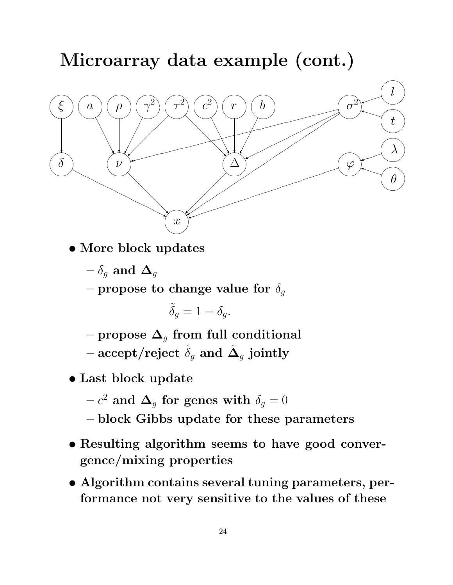

- More block updates
	- $-\delta_q$  and  $\Delta_q$

– propose to change value for  $\delta_g$ 

$$
\tilde{\delta}_g = 1 - \delta_g.
$$

– propose  $\Delta_q$  from full conditional

– accept/reject  $\widetilde{\delta}_g$  and  $\tilde{\mathbf{\Delta}}_g$  jointly

- Last block update
	- $c^{2}$  and  $\boldsymbol{\Delta}_{g}$  for genes with  $\delta_{g}=0$
	- block Gibbs update for these parameters
- Resulting algorithm seems to have good convergence/mixing properties
- Algorithm contains several tuning parameters, performance not very sensitive to the values of these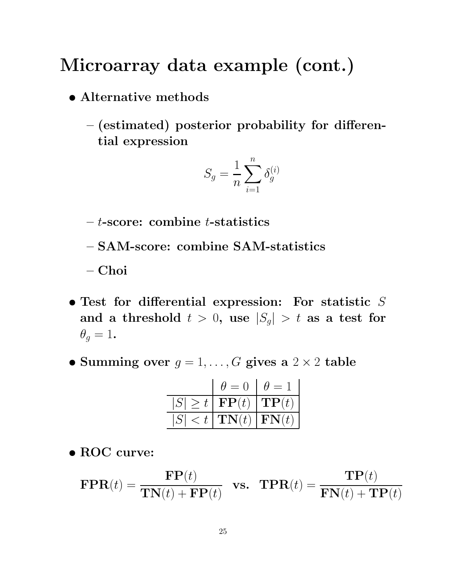- Alternative methods
	- (estimated) posterior probability for differential expression

$$
S_g = \frac{1}{n} \sum_{i=1}^n \delta_g^{(i)}
$$

- $-t$ -score: combine  $t$ -statistics
- SAM-score: combine SAM-statistics

– Choi

- $\bullet$  Test for differential expression: For statistic  $S$ and a threshold  $t > 0$ , use  $|S_g| > t$  as a test for  $\theta_q=1$ .
- Summing over  $g = 1, \ldots, G$  gives a  $2 \times 2$  table

|                         | $\theta = 0$             | $\theta =$                   |
|-------------------------|--------------------------|------------------------------|
| S                       | $> t   \mathbf{FP}(t)  $ | $\Vert \mathbf{TP}(t) \Vert$ |
| S <br>$\vert < t \vert$ | $\mathbf{TN}(t)$         | $ \textbf{FN}(t) $           |

• ROC curve:

$$
\text{FPR}(t) = \frac{\text{FP}(t)}{\text{TN}(t) + \text{FP}(t)} \quad \text{vs.} \quad \text{TPR}(t) = \frac{\text{TP}(t)}{\text{FN}(t) + \text{TP}(t)}
$$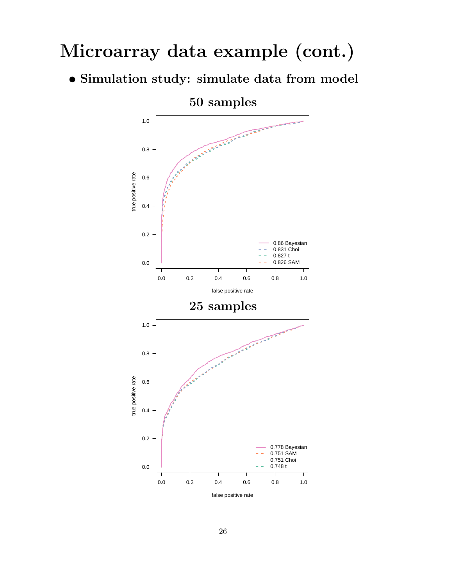• Simulation study: simulate data from model

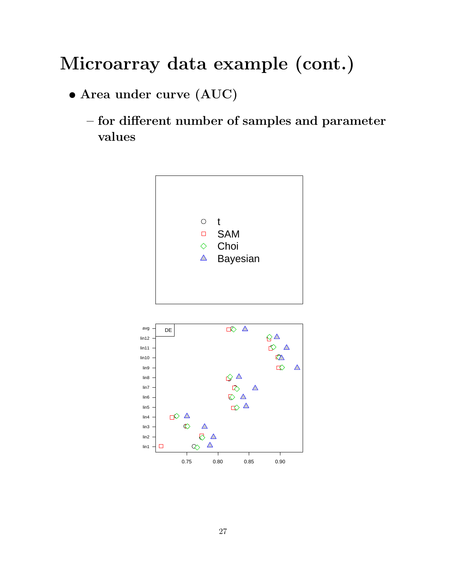- Area under curve (AUC)
	- for different number of samples and parameter values



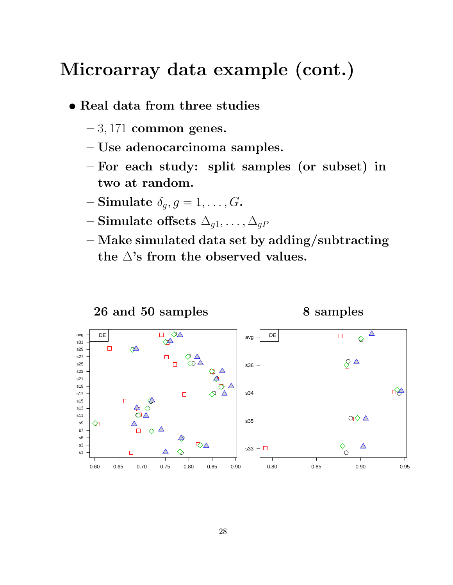- Real data from three studies
	- $-3,171$  common genes.
	- Use adenocarcinoma samples.
	- For each study: split samples (or subset) in two at random.
	- Simulate  $\delta_g$ ,  $g = 1, \ldots, G$ .
	- Simulate offsets  $\Delta_{g1}, \ldots, \Delta_{gP}$
	- Make simulated data set by adding/subtracting the  $\Delta$ 's from the observed values.